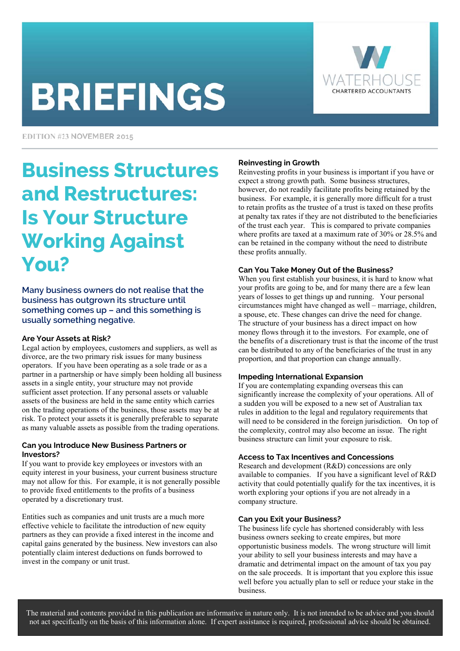# **BRIEFINGS**



EDITION #23 NOVEMBER 2015

# Business Structures and Restructures: Is Your Structure Working Against You?

Many business owners do not realise that the business has outgrown its structure until something comes up – and this something is usually something negative.

## **Are Your Assets at Risk?**

Legal action by employees, customers and suppliers, as well as divorce, are the two primary risk issues for many business operators. If you have been operating as a sole trade or as a partner in a partnership or have simply been holding all business assets in a single entity, your structure may not provide sufficient asset protection. If any personal assets or valuable assets of the business are held in the same entity which carries on the trading operations of the business, those assets may be at risk. To protect your assets it is generally preferable to separate as many valuable assets as possible from the trading operations.

#### **Can you Introduce New Business Partners or Investors?**

If you want to provide key employees or investors with an equity interest in your business, your current business structure may not allow for this. For example, it is not generally possible to provide fixed entitlements to the profits of a business operated by a discretionary trust.

Entities such as companies and unit trusts are a much more effective vehicle to facilitate the introduction of new equity partners as they can provide a fixed interest in the income and capital gains generated by the business. New investors can also potentially claim interest deductions on funds borrowed to invest in the company or unit trust.

# **Reinvesting in Growth**

Reinvesting profits in your business is important if you have or expect a strong growth path. Some business structures, however, do not readily facilitate profits being retained by the business. For example, it is generally more difficult for a trust to retain profits as the trustee of a trust is taxed on these profits at penalty tax rates if they are not distributed to the beneficiaries of the trust each year. This is compared to private companies where profits are taxed at a maximum rate of 30% or 28.5% and can be retained in the company without the need to distribute these profits annually.

## **Can You Take Money Out of the Business?**

When you first establish your business, it is hard to know what your profits are going to be, and for many there are a few lean years of losses to get things up and running. Your personal circumstances might have changed as well – marriage, children, a spouse, etc. These changes can drive the need for change. The structure of your business has a direct impact on how money flows through it to the investors. For example, one of the benefits of a discretionary trust is that the income of the trust can be distributed to any of the beneficiaries of the trust in any proportion, and that proportion can change annually.

## **Impeding International Expansion**

If you are contemplating expanding overseas this can significantly increase the complexity of your operations. All of a sudden you will be exposed to a new set of Australian tax rules in addition to the legal and regulatory requirements that will need to be considered in the foreign jurisdiction. On top of the complexity, control may also become an issue. The right business structure can limit your exposure to risk.

## **Access to Tax Incentives and Concessions**

Research and development (R&D) concessions are only available to companies. If you have a significant level of R&D activity that could potentially qualify for the tax incentives, it is worth exploring your options if you are not already in a company structure.

## **Can you Exit your Business?**

The business life cycle has shortened considerably with less business owners seeking to create empires, but more opportunistic business models. The wrong structure will limit your ability to sell your business interests and may have a dramatic and detrimental impact on the amount of tax you pay on the sale proceeds. It is important that you explore this issue well before you actually plan to sell or reduce your stake in the business.

The material and contents provided in this publication are informative in nature only. It is not intended to be advice and you should not act specifically on the basis of this information alone. If expert assistance is required, professional advice should be obtained.